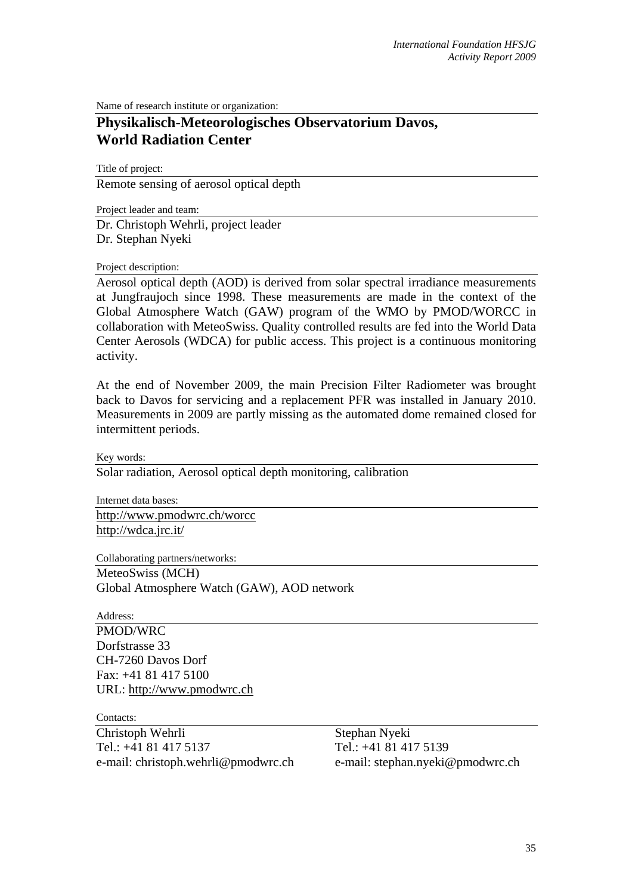Name of research institute or organization:

## **Physikalisch-Meteorologisches Observatorium Davos, World Radiation Center**

Title of project:

Remote sensing of aerosol optical depth

Project leader and team: Dr. Christoph Wehrli, project leader Dr. Stephan Nyeki

## Project description:

Aerosol optical depth (AOD) is derived from solar spectral irradiance measurements at Jungfraujoch since 1998. These measurements are made in the context of the Global Atmosphere Watch (GAW) program of the WMO by PMOD/WORCC in collaboration with MeteoSwiss. Quality controlled results are fed into the World Data Center Aerosols (WDCA) for public access. This project is a continuous monitoring activity.

At the end of November 2009, the main Precision Filter Radiometer was brought back to Davos for servicing and a replacement PFR was installed in January 2010. Measurements in 2009 are partly missing as the automated dome remained closed for intermittent periods.

Key words:

Solar radiation, Aerosol optical depth monitoring, calibration

Internet data bases: http://www.pmodwrc.ch/worcc http://wdca.jrc.it/

Collaborating partners/networks:

MeteoSwiss (MCH)

Global Atmosphere Watch (GAW), AOD network

Address:

PMOD/WRC Dorfstrasse 33 CH-7260 Davos Dorf Fax: +41 81 417 5100 URL: http://www.pmodwrc.ch

Contacts:

Christoph Wehrli Tel.: +41 81 417 5137 e-mail: christoph.wehrli@pmodwrc.ch

Stephan Nyeki Tel.: +41 81 417 5139 e-mail: stephan.nyeki@pmodwrc.ch